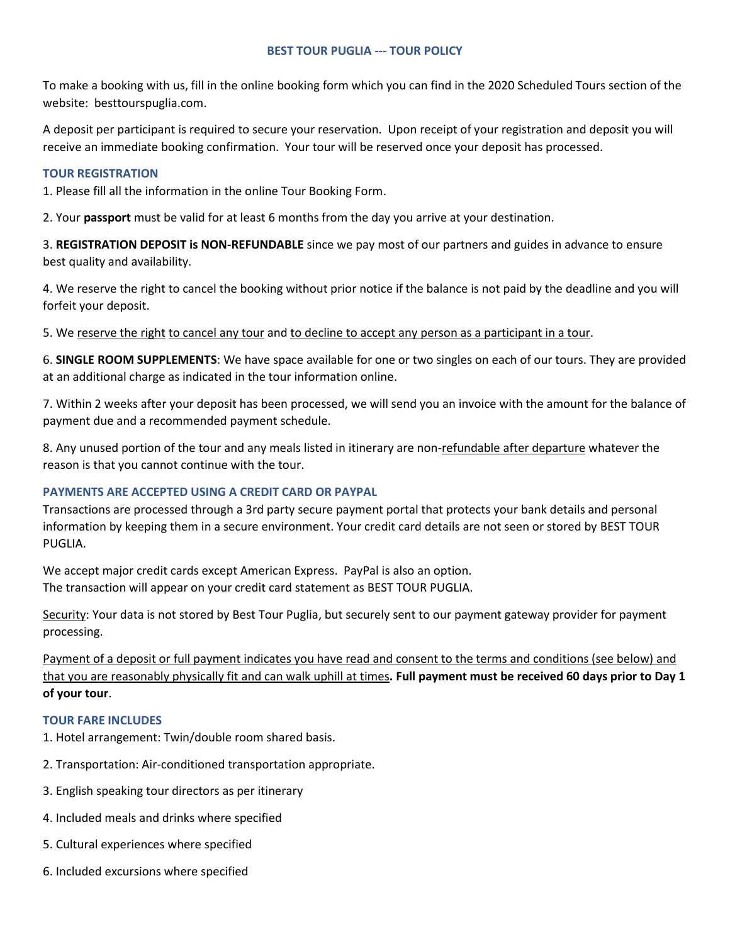# **BEST TOUR PUGLIA --- TOUR POLICY**

To make a booking with us, fill in the online booking form which you can find in the 2020 Scheduled Tours section of the website: besttourspuglia.com.

A deposit per participant is required to secure your reservation. Upon receipt of your registration and deposit you will receive an immediate booking confirmation. Your tour will be reserved once your deposit has processed.

# **TOUR REGISTRATION**

1. Please fill all the information in the online Tour Booking Form.

2. Your **passport** must be valid for at least 6 months from the day you arrive at your destination.

3. **REGISTRATION DEPOSIT is NON-REFUNDABLE** since we pay most of our partners and guides in advance to ensure best quality and availability.

4. We reserve the right to cancel the booking without prior notice if the balance is not paid by the deadline and you will forfeit your deposit.

5. We reserve the right to cancel any tour and to decline to accept any person as a participant in a tour.

6. **SINGLE ROOM SUPPLEMENTS**: We have space available for one or two singles on each of our tours. They are provided at an additional charge as indicated in the tour information online.

7. Within 2 weeks after your deposit has been processed, we will send you an invoice with the amount for the balance of payment due and a recommended payment schedule.

8. Any unused portion of the tour and any meals listed in itinerary are non-refundable after departure whatever the reason is that you cannot continue with the tour.

# **PAYMENTS ARE ACCEPTED USING A CREDIT CARD OR PAYPAL**

Transactions are processed through a 3rd party secure payment portal that protects your bank details and personal information by keeping them in a secure environment. Your credit card details are not seen or stored by BEST TOUR PUGLIA.

We accept major credit cards except American Express. PayPal is also an option. The transaction will appear on your credit card statement as BEST TOUR PUGLIA.

Security: Your data is not stored by Best Tour Puglia, but securely sent to our payment gateway provider for payment processing.

Payment of a deposit or full payment indicates you have read and consent to the terms and conditions (see below) and that you are reasonably physically fit and can walk uphill at times**. Full payment must be received 60 days prior to Day 1 of your tour**.

# **TOUR FARE INCLUDES**

1. Hotel arrangement: Twin/double room shared basis.

- 2. Transportation: Air-conditioned transportation appropriate.
- 3. English speaking tour directors as per itinerary
- 4. Included meals and drinks where specified
- 5. Cultural experiences where specified
- 6. Included excursions where specified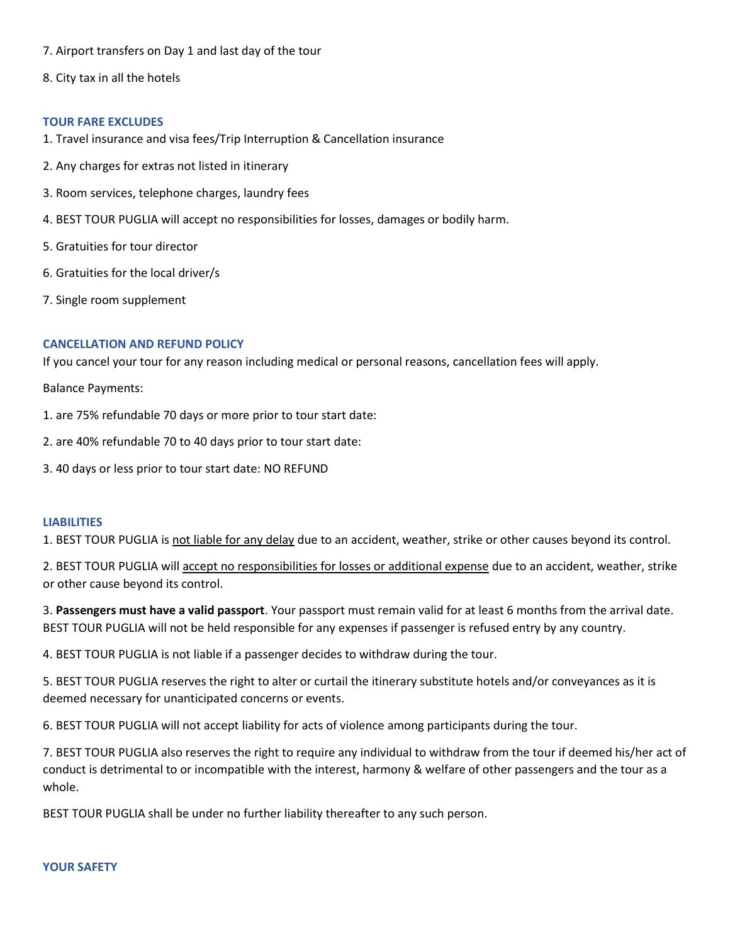- 7. Airport transfers on Day 1 and last day of the tour
- 8. City tax in all the hotels

#### **TOUR FARE EXCLUDES**

- 1. Travel insurance and visa fees/Trip Interruption & Cancellation insurance
- 2. Any charges for extras not listed in itinerary
- 3. Room services, telephone charges, laundry fees
- 4. BEST TOUR PUGLIA will accept no responsibilities for losses, damages or bodily harm.
- 5. Gratuities for tour director
- 6. Gratuities for the local driver/s
- 7. Single room supplement

## **CANCELLATION AND REFUND POLICY**

If you cancel your tour for any reason including medical or personal reasons, cancellation fees will apply.

Balance Payments:

- 1. are 75% refundable 70 days or more prior to tour start date:
- 2. are 40% refundable 70 to 40 days prior to tour start date:
- 3. 40 days or less prior to tour start date: NO REFUND

#### **LIABILITIES**

1. BEST TOUR PUGLIA is not liable for any delay due to an accident, weather, strike or other causes beyond its control.

2. BEST TOUR PUGLIA will accept no responsibilities for losses or additional expense due to an accident, weather, strike or other cause beyond its control.

3. **Passengers must have a valid passport**. Your passport must remain valid for at least 6 months from the arrival date. BEST TOUR PUGLIA will not be held responsible for any expenses if passenger is refused entry by any country.

4. BEST TOUR PUGLIA is not liable if a passenger decides to withdraw during the tour.

5. BEST TOUR PUGLIA reserves the right to alter or curtail the itinerary substitute hotels and/or conveyances as it is deemed necessary for unanticipated concerns or events.

6. BEST TOUR PUGLIA will not accept liability for acts of violence among participants during the tour.

7. BEST TOUR PUGLIA also reserves the right to require any individual to withdraw from the tour if deemed his/her act of conduct is detrimental to or incompatible with the interest, harmony & welfare of other passengers and the tour as a whole.

BEST TOUR PUGLIA shall be under no further liability thereafter to any such person.

#### **YOUR SAFETY**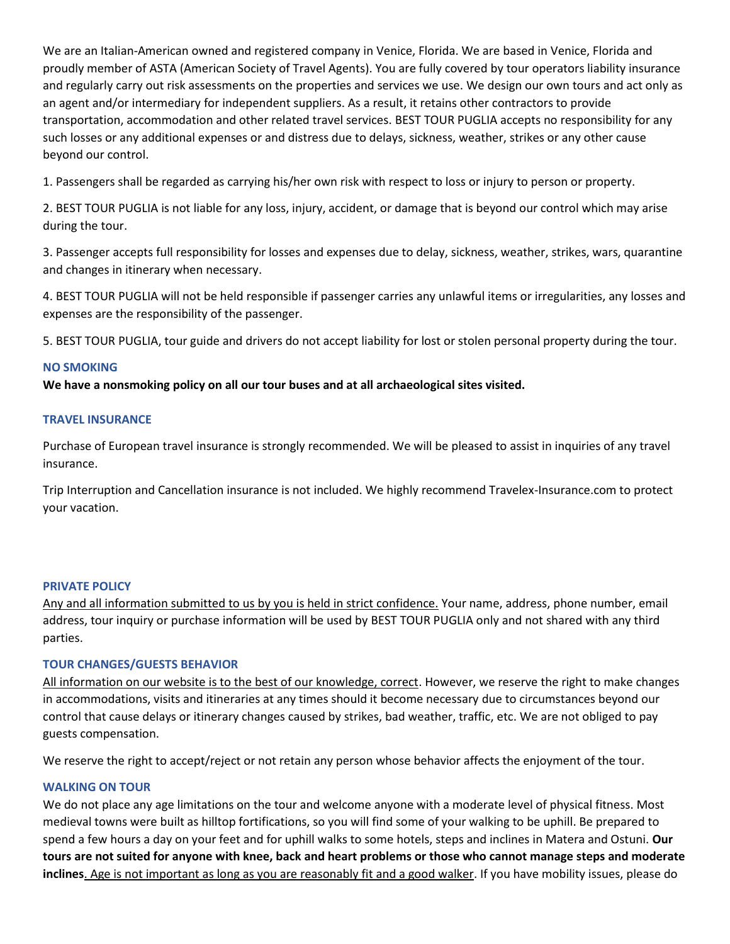We are an Italian-American owned and registered company in Venice, Florida. We are based in Venice, Florida and proudly member of ASTA (American Society of Travel Agents). You are fully covered by tour operators liability insurance and regularly carry out risk assessments on the properties and services we use. We design our own tours and act only as an agent and/or intermediary for independent suppliers. As a result, it retains other contractors to provide transportation, accommodation and other related travel services. BEST TOUR PUGLIA accepts no responsibility for any such losses or any additional expenses or and distress due to delays, sickness, weather, strikes or any other cause beyond our control.

1. Passengers shall be regarded as carrying his/her own risk with respect to loss or injury to person or property.

2. BEST TOUR PUGLIA is not liable for any loss, injury, accident, or damage that is beyond our control which may arise during the tour.

3. Passenger accepts full responsibility for losses and expenses due to delay, sickness, weather, strikes, wars, quarantine and changes in itinerary when necessary.

4. BEST TOUR PUGLIA will not be held responsible if passenger carries any unlawful items or irregularities, any losses and expenses are the responsibility of the passenger.

5. BEST TOUR PUGLIA, tour guide and drivers do not accept liability for lost or stolen personal property during the tour.

# **NO SMOKING**

**We have a nonsmoking policy on all our tour buses and at all archaeological sites visited.** 

## **TRAVEL INSURANCE**

Purchase of European travel insurance is strongly recommended. We will be pleased to assist in inquiries of any travel insurance.

Trip Interruption and Cancellation insurance is not included. We highly recommend Travelex-Insurance.com to protect your vacation.

#### **PRIVATE POLICY**

Any and all information submitted to us by you is held in strict confidence. Your name, address, phone number, email address, tour inquiry or purchase information will be used by BEST TOUR PUGLIA only and not shared with any third parties.

# **TOUR CHANGES/GUESTS BEHAVIOR**

All information on our website is to the best of our knowledge, correct. However, we reserve the right to make changes in accommodations, visits and itineraries at any times should it become necessary due to circumstances beyond our control that cause delays or itinerary changes caused by strikes, bad weather, traffic, etc. We are not obliged to pay guests compensation.

We reserve the right to accept/reject or not retain any person whose behavior affects the enjoyment of the tour.

# **WALKING ON TOUR**

We do not place any age limitations on the tour and welcome anyone with a moderate level of physical fitness. Most medieval towns were built as hilltop fortifications, so you will find some of your walking to be uphill. Be prepared to spend a few hours a day on your feet and for uphill walks to some hotels, steps and inclines in Matera and Ostuni. **Our tours are not suited for anyone with knee, back and heart problems or those who cannot manage steps and moderate inclines**. Age is not important as long as you are reasonably fit and a good walker. If you have mobility issues, please do